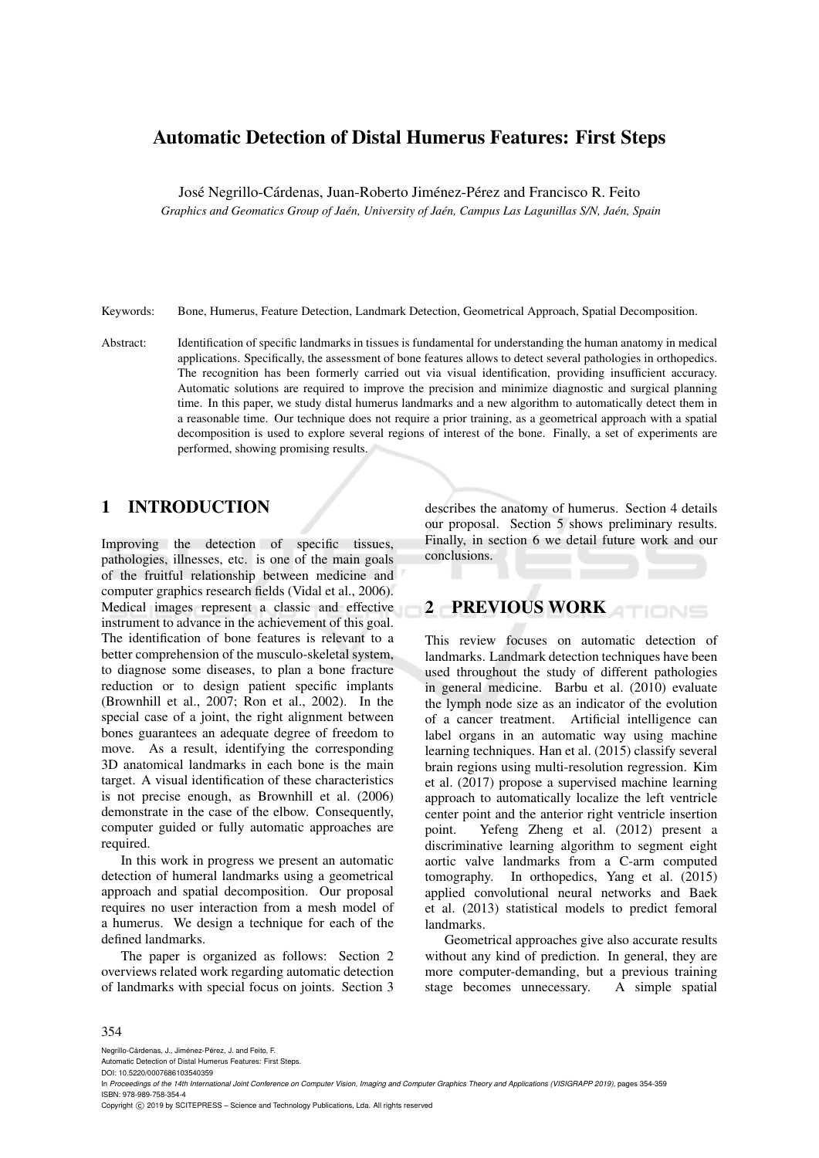# Automatic Detection of Distal Humerus Features: First Steps

José Negrillo-Cárdenas, Juan-Roberto Jiménez-Pérez and Francisco R. Feito

*Graphics and Geomatics Group of Jaen, University of Ja ´ en, Campus Las Lagunillas S/N, Ja ´ en, Spain ´*

Keywords: Bone, Humerus, Feature Detection, Landmark Detection, Geometrical Approach, Spatial Decomposition.

Abstract: Identification of specific landmarks in tissues is fundamental for understanding the human anatomy in medical applications. Specifically, the assessment of bone features allows to detect several pathologies in orthopedics. The recognition has been formerly carried out via visual identification, providing insufficient accuracy. Automatic solutions are required to improve the precision and minimize diagnostic and surgical planning time. In this paper, we study distal humerus landmarks and a new algorithm to automatically detect them in a reasonable time. Our technique does not require a prior training, as a geometrical approach with a spatial decomposition is used to explore several regions of interest of the bone. Finally, a set of experiments are performed, showing promising results.

# 1 INTRODUCTION

Improving the detection of specific tissues, pathologies, illnesses, etc. is one of the main goals of the fruitful relationship between medicine and computer graphics research fields (Vidal et al., 2006). Medical images represent a classic and effective instrument to advance in the achievement of this goal. The identification of bone features is relevant to a better comprehension of the musculo-skeletal system, to diagnose some diseases, to plan a bone fracture reduction or to design patient specific implants (Brownhill et al., 2007; Ron et al., 2002). In the special case of a joint, the right alignment between bones guarantees an adequate degree of freedom to move. As a result, identifying the corresponding 3D anatomical landmarks in each bone is the main target. A visual identification of these characteristics is not precise enough, as Brownhill et al. (2006) demonstrate in the case of the elbow. Consequently, computer guided or fully automatic approaches are required.

In this work in progress we present an automatic detection of humeral landmarks using a geometrical approach and spatial decomposition. Our proposal requires no user interaction from a mesh model of a humerus. We design a technique for each of the defined landmarks.

The paper is organized as follows: Section 2 overviews related work regarding automatic detection of landmarks with special focus on joints. Section 3

describes the anatomy of humerus. Section 4 details our proposal. Section 5 shows preliminary results. Finally, in section 6 we detail future work and our conclusions.

# 2 PREVIOUS WORK

This review focuses on automatic detection of landmarks. Landmark detection techniques have been used throughout the study of different pathologies in general medicine. Barbu et al. (2010) evaluate the lymph node size as an indicator of the evolution of a cancer treatment. Artificial intelligence can label organs in an automatic way using machine learning techniques. Han et al. (2015) classify several brain regions using multi-resolution regression. Kim et al. (2017) propose a supervised machine learning approach to automatically localize the left ventricle center point and the anterior right ventricle insertion point. Yefeng Zheng et al. (2012) present a discriminative learning algorithm to segment eight aortic valve landmarks from a C-arm computed tomography. In orthopedics, Yang et al. (2015) applied convolutional neural networks and Baek et al. (2013) statistical models to predict femoral landmarks.

Geometrical approaches give also accurate results without any kind of prediction. In general, they are more computer-demanding, but a previous training stage becomes unnecessary. A simple spatial

#### 354

Negrillo-Cárdenas, J., Jiménez-Pérez, J. and Feito, F.

Automatic Detection of Distal Humerus Features: First Steps.

Copyright © 2019 by SCITEPRESS - Science and Technology Publications, Lda. All rights reserved

DOI: 10.5220/0007686103540359

In *Proceedings of the 14th International Joint Conference on Computer Vision, Imaging and Computer Graphics Theory and Applications (VISIGRAPP 2019)*, pages 354-359 ISBN: 978-989-758-354-4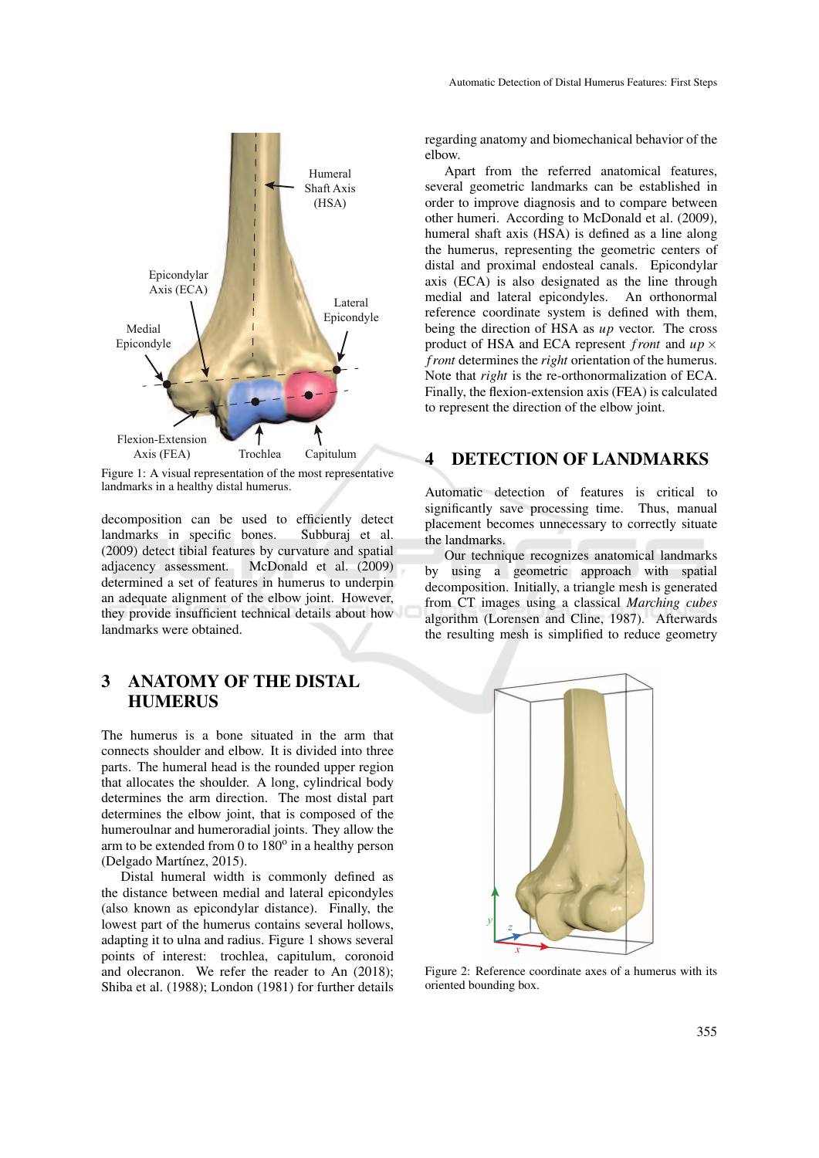

Figure 1: A visual representation of the most representative landmarks in a healthy distal humerus.

decomposition can be used to efficiently detect landmarks in specific bones. Subburaj et al. (2009) detect tibial features by curvature and spatial adjacency assessment. McDonald et al. (2009) determined a set of features in humerus to underpin an adequate alignment of the elbow joint. However, they provide insufficient technical details about how landmarks were obtained.

# 3 ANATOMY OF THE DISTAL **HUMERUS**

The humerus is a bone situated in the arm that connects shoulder and elbow. It is divided into three parts. The humeral head is the rounded upper region that allocates the shoulder. A long, cylindrical body determines the arm direction. The most distal part determines the elbow joint, that is composed of the humeroulnar and humeroradial joints. They allow the arm to be extended from  $0$  to  $180^\circ$  in a healthy person (Delgado Martínez, 2015).

Distal humeral width is commonly defined as the distance between medial and lateral epicondyles (also known as epicondylar distance). Finally, the lowest part of the humerus contains several hollows, adapting it to ulna and radius. Figure 1 shows several points of interest: trochlea, capitulum, coronoid and olecranon. We refer the reader to An (2018); Shiba et al. (1988); London (1981) for further details

regarding anatomy and biomechanical behavior of the elbow.

Apart from the referred anatomical features, several geometric landmarks can be established in order to improve diagnosis and to compare between other humeri. According to McDonald et al. (2009), humeral shaft axis (HSA) is defined as a line along the humerus, representing the geometric centers of distal and proximal endosteal canals. Epicondylar axis (ECA) is also designated as the line through medial and lateral epicondyles. An orthonormal reference coordinate system is defined with them, being the direction of HSA as *up* vector. The cross product of HSA and ECA represent *front* and  $up \times$ *f ront* determines the *right* orientation of the humerus. Note that *right* is the re-orthonormalization of ECA. Finally, the flexion-extension axis (FEA) is calculated to represent the direction of the elbow joint.

# 4 DETECTION OF LANDMARKS

Automatic detection of features is critical to significantly save processing time. Thus, manual placement becomes unnecessary to correctly situate the landmarks.

Our technique recognizes anatomical landmarks by using a geometric approach with spatial decomposition. Initially, a triangle mesh is generated from CT images using a classical *Marching cubes* algorithm (Lorensen and Cline, 1987). Afterwards the resulting mesh is simplified to reduce geometry



Figure 2: Reference coordinate axes of a humerus with its oriented bounding box.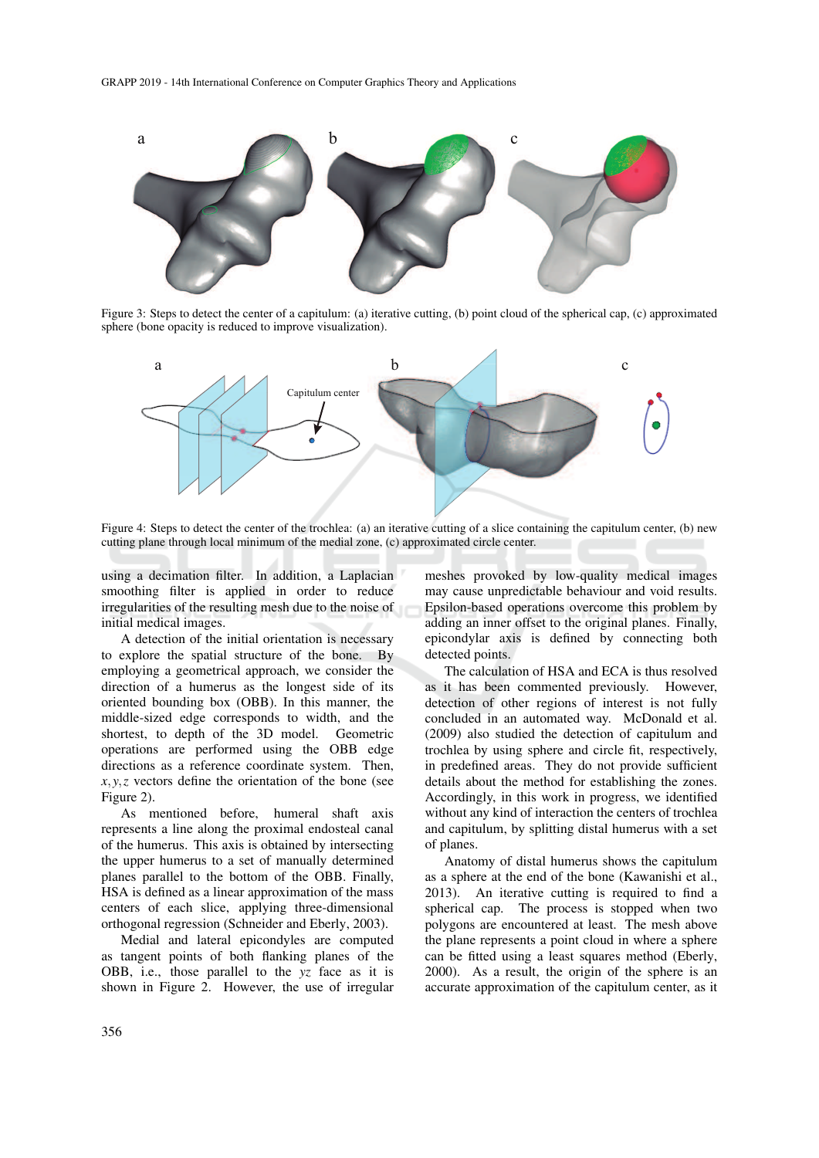

Figure 3: Steps to detect the center of a capitulum: (a) iterative cutting, (b) point cloud of the spherical cap, (c) approximated sphere (bone opacity is reduced to improve visualization).



Figure 4: Steps to detect the center of the trochlea: (a) an iterative cutting of a slice containing the capitulum center, (b) new cutting plane through local minimum of the medial zone, (c) approximated circle center.

using a decimation filter. In addition, a Laplacian smoothing filter is applied in order to reduce irregularities of the resulting mesh due to the noise of initial medical images.

A detection of the initial orientation is necessary to explore the spatial structure of the bone. By employing a geometrical approach, we consider the direction of a humerus as the longest side of its oriented bounding box (OBB). In this manner, the middle-sized edge corresponds to width, and the shortest, to depth of the 3D model. Geometric operations are performed using the OBB edge directions as a reference coordinate system. Then,  $x, y, z$  vectors define the orientation of the bone (see Figure 2).

As mentioned before, humeral shaft axis represents a line along the proximal endosteal canal of the humerus. This axis is obtained by intersecting the upper humerus to a set of manually determined planes parallel to the bottom of the OBB. Finally, HSA is defined as a linear approximation of the mass centers of each slice, applying three-dimensional orthogonal regression (Schneider and Eberly, 2003).

Medial and lateral epicondyles are computed as tangent points of both flanking planes of the OBB, i.e., those parallel to the *yz* face as it is shown in Figure 2. However, the use of irregular meshes provoked by low-quality medical images may cause unpredictable behaviour and void results. Epsilon-based operations overcome this problem by adding an inner offset to the original planes. Finally, epicondylar axis is defined by connecting both detected points.

The calculation of HSA and ECA is thus resolved as it has been commented previously. However, detection of other regions of interest is not fully concluded in an automated way. McDonald et al. (2009) also studied the detection of capitulum and trochlea by using sphere and circle fit, respectively, in predefined areas. They do not provide sufficient details about the method for establishing the zones. Accordingly, in this work in progress, we identified without any kind of interaction the centers of trochlea and capitulum, by splitting distal humerus with a set of planes.

Anatomy of distal humerus shows the capitulum as a sphere at the end of the bone (Kawanishi et al., 2013). An iterative cutting is required to find a spherical cap. The process is stopped when two polygons are encountered at least. The mesh above the plane represents a point cloud in where a sphere can be fitted using a least squares method (Eberly, 2000). As a result, the origin of the sphere is an accurate approximation of the capitulum center, as it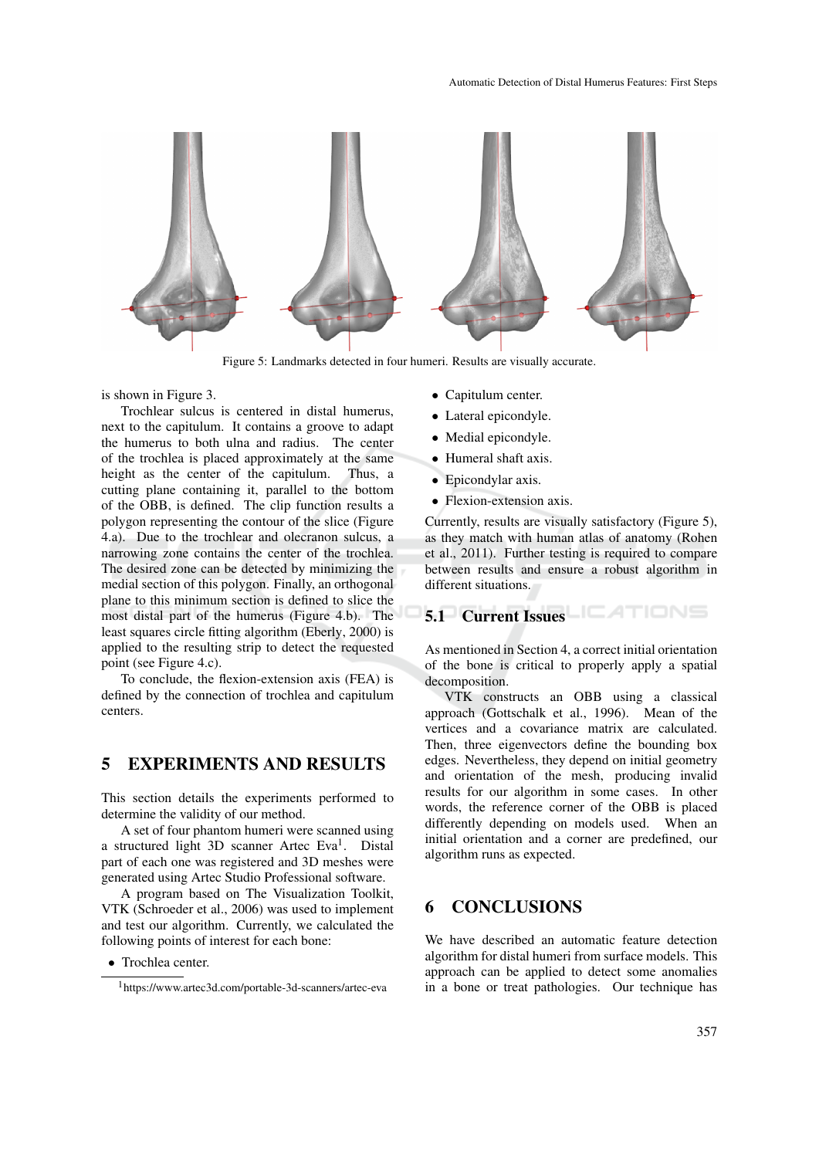

Figure 5: Landmarks detected in four humeri. Results are visually accurate.

is shown in Figure 3.

Trochlear sulcus is centered in distal humerus, next to the capitulum. It contains a groove to adapt the humerus to both ulna and radius. The center of the trochlea is placed approximately at the same height as the center of the capitulum. Thus, a cutting plane containing it, parallel to the bottom of the OBB, is defined. The clip function results a polygon representing the contour of the slice (Figure 4.a). Due to the trochlear and olecranon sulcus, a narrowing zone contains the center of the trochlea. The desired zone can be detected by minimizing the medial section of this polygon. Finally, an orthogonal plane to this minimum section is defined to slice the most distal part of the humerus (Figure 4.b). The least squares circle fitting algorithm (Eberly, 2000) is applied to the resulting strip to detect the requested point (see Figure 4.c).

To conclude, the flexion-extension axis (FEA) is defined by the connection of trochlea and capitulum centers.

### 5 EXPERIMENTS AND RESULTS

This section details the experiments performed to determine the validity of our method.

A set of four phantom humeri were scanned using a structured light 3D scanner Artec Eva<sup>1</sup>. Distal part of each one was registered and 3D meshes were generated using Artec Studio Professional software.

A program based on The Visualization Toolkit, VTK (Schroeder et al., 2006) was used to implement and test our algorithm. Currently, we calculated the following points of interest for each bone:

- Capitulum center.
- Lateral epicondyle.
- Medial epicondyle.
- Humeral shaft axis.
- Epicondylar axis.
- Flexion-extension axis.

Currently, results are visually satisfactory (Figure 5), as they match with human atlas of anatomy (Rohen et al., 2011). Further testing is required to compare between results and ensure a robust algorithm in different situations.

# 5.1 Current Issues **EXTIONS**

As mentioned in Section 4, a correct initial orientation of the bone is critical to properly apply a spatial decomposition.

VTK constructs an OBB using a classical approach (Gottschalk et al., 1996). Mean of the vertices and a covariance matrix are calculated. Then, three eigenvectors define the bounding box edges. Nevertheless, they depend on initial geometry and orientation of the mesh, producing invalid results for our algorithm in some cases. In other words, the reference corner of the OBB is placed differently depending on models used. When an initial orientation and a corner are predefined, our algorithm runs as expected.

#### 6 CONCLUSIONS

We have described an automatic feature detection algorithm for distal humeri from surface models. This approach can be applied to detect some anomalies in a bone or treat pathologies. Our technique has

<sup>•</sup> Trochlea center.

<sup>1</sup> https://www.artec3d.com/portable-3d-scanners/artec-eva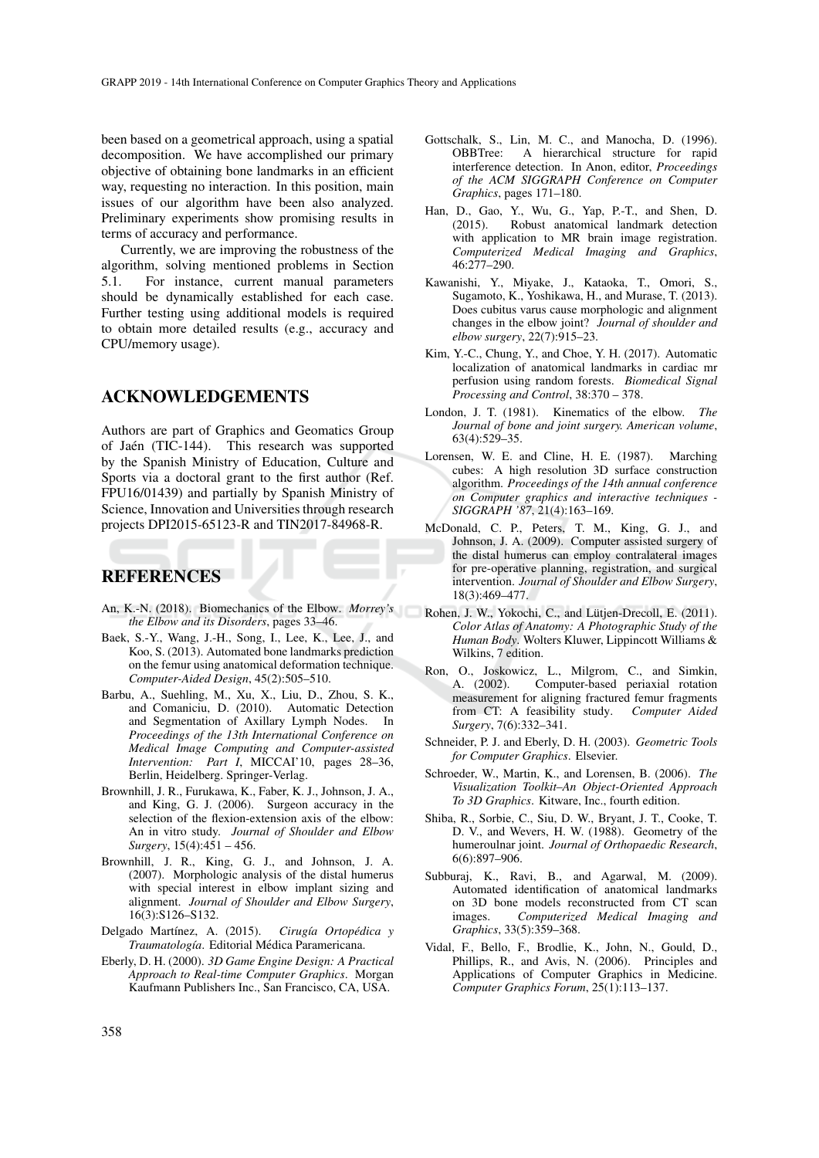been based on a geometrical approach, using a spatial decomposition. We have accomplished our primary objective of obtaining bone landmarks in an efficient way, requesting no interaction. In this position, main issues of our algorithm have been also analyzed. Preliminary experiments show promising results in terms of accuracy and performance.

Currently, we are improving the robustness of the algorithm, solving mentioned problems in Section 5.1. For instance, current manual parameters should be dynamically established for each case. Further testing using additional models is required to obtain more detailed results (e.g., accuracy and CPU/memory usage).

#### ACKNOWLEDGEMENTS

Authors are part of Graphics and Geomatics Group of Jaén (TIC-144). This research was supported by the Spanish Ministry of Education, Culture and Sports via a doctoral grant to the first author (Ref. FPU16/01439) and partially by Spanish Ministry of Science, Innovation and Universities through research projects DPI2015-65123-R and TIN2017-84968-R.

#### REFERENCES

- An, K.-N. (2018). Biomechanics of the Elbow. *Morrey's the Elbow and its Disorders*, pages 33–46.
- Baek, S.-Y., Wang, J.-H., Song, I., Lee, K., Lee, J., and Koo, S. (2013). Automated bone landmarks prediction on the femur using anatomical deformation technique. *Computer-Aided Design*, 45(2):505–510.
- Barbu, A., Suehling, M., Xu, X., Liu, D., Zhou, S. K., and Comaniciu, D. (2010). Automatic Detection and Segmentation of Axillary Lymph Nodes. In *Proceedings of the 13th International Conference on Medical Image Computing and Computer-assisted Intervention: Part I*, MICCAI'10, pages 28–36, Berlin, Heidelberg. Springer-Verlag.
- Brownhill, J. R., Furukawa, K., Faber, K. J., Johnson, J. A., and King, G. J. (2006). Surgeon accuracy in the selection of the flexion-extension axis of the elbow: An in vitro study. *Journal of Shoulder and Elbow Surgery*, 15(4):451 – 456.
- Brownhill, J. R., King, G. J., and Johnson, J. A. (2007). Morphologic analysis of the distal humerus with special interest in elbow implant sizing and alignment. *Journal of Shoulder and Elbow Surgery*, 16(3):S126–S132.
- Delgado Martínez, A. (2015). *Cirugía Ortopédica* y *Traumatolog´ıa*. Editorial Medica Paramericana. ´
- Eberly, D. H. (2000). *3D Game Engine Design: A Practical Approach to Real-time Computer Graphics*. Morgan Kaufmann Publishers Inc., San Francisco, CA, USA.
- Gottschalk, S., Lin, M. C., and Manocha, D. (1996). OBBTree: A hierarchical structure for rapid interference detection. In Anon, editor, *Proceedings of the ACM SIGGRAPH Conference on Computer Graphics*, pages 171–180.
- Han, D., Gao, Y., Wu, G., Yap, P.-T., and Shen, D. (2015). Robust anatomical landmark detection with application to MR brain image registration. *Computerized Medical Imaging and Graphics*, 46:277–290.
- Kawanishi, Y., Miyake, J., Kataoka, T., Omori, S., Sugamoto, K., Yoshikawa, H., and Murase, T. (2013). Does cubitus varus cause morphologic and alignment changes in the elbow joint? *Journal of shoulder and elbow surgery*, 22(7):915–23.
- Kim, Y.-C., Chung, Y., and Choe, Y. H. (2017). Automatic localization of anatomical landmarks in cardiac mr perfusion using random forests. *Biomedical Signal Processing and Control*, 38:370 – 378.
- London, J. T. (1981). Kinematics of the elbow. *The Journal of bone and joint surgery. American volume*, 63(4):529–35.
- Lorensen, W. E. and Cline, H. E. (1987). Marching cubes: A high resolution 3D surface construction algorithm. *Proceedings of the 14th annual conference on Computer graphics and interactive techniques - SIGGRAPH '87*, 21(4):163–169.
- McDonald, C. P., Peters, T. M., King, G. J., and Johnson, J. A. (2009). Computer assisted surgery of the distal humerus can employ contralateral images for pre-operative planning, registration, and surgical intervention. *Journal of Shoulder and Elbow Surgery*, 18(3):469–477.
- Rohen, J. W., Yokochi, C., and Lütjen-Drecoll, E. (2011). *Color Atlas of Anatomy: A Photographic Study of the Human Body*. Wolters Kluwer, Lippincott Williams & Wilkins, 7 edition.
- Ron, O., Joskowicz, L., Milgrom, C., and Simkin, A. (2002). Computer-based periaxial rotation measurement for aligning fractured femur fragments from CT: A feasibility study. *Computer Aided Surgery*, 7(6):332–341.
- Schneider, P. J. and Eberly, D. H. (2003). *Geometric Tools for Computer Graphics*. Elsevier.
- Schroeder, W., Martin, K., and Lorensen, B. (2006). *The Visualization Toolkit–An Object-Oriented Approach To 3D Graphics*. Kitware, Inc., fourth edition.
- Shiba, R., Sorbie, C., Siu, D. W., Bryant, J. T., Cooke, T. D. V., and Wevers, H. W. (1988). Geometry of the humeroulnar joint. *Journal of Orthopaedic Research*, 6(6):897–906.
- Subburaj, K., Ravi, B., and Agarwal, M. (2009). Automated identification of anatomical landmarks on 3D bone models reconstructed from CT scan images. *Computerized Medical Imaging and Graphics*, 33(5):359–368.
- Vidal, F., Bello, F., Brodlie, K., John, N., Gould, D., Phillips, R., and Avis, N. (2006). Principles and Applications of Computer Graphics in Medicine. *Computer Graphics Forum*, 25(1):113–137.